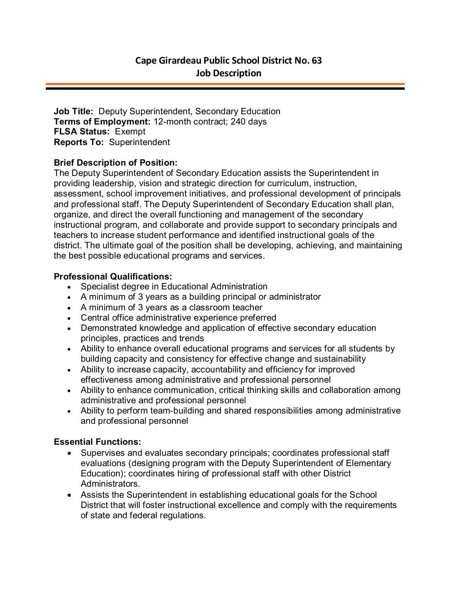**Job Title:** Deputy Superintendent, Secondary Education **Terms of Employment:** 12-month contract; 240 days **FLSA Status:** Exempt **Reports To:** Superintendent

# **Brief Description of Position:**

The Deputy Superintendent of Secondary Education assists the Superintendent in providing leadership, vision and strategic direction for curriculum, instruction, assessment, school improvement initiatives, and professional development of principals and professional staff. The Deputy Superintendent of Secondary Education shall plan, organize, and direct the overall functioning and management of the secondary instructional program, and collaborate and provide support to secondary principals and teachers to increase student performance and identified instructional goals of the district. The ultimate goal of the position shall be developing, achieving, and maintaining the best possible educational programs and services.

# **Professional Qualifications:**

- Specialist degree in Educational Administration
- A minimum of 3 years as a building principal or administrator
- A minimum of 3 years as a classroom teacher
- Central office administrative experience preferred
- Demonstrated knowledge and application of effective secondary education principles, practices and trends
- Ability to enhance overall educational programs and services for all students by building capacity and consistency for effective change and sustainability
- Ability to increase capacity, accountability and efficiency for improved effectiveness among administrative and professional personnel
- Ability to enhance communication, critical thinking skills and collaboration among administrative and professional personnel
- Ability to perform team-building and shared responsibilities among administrative and professional personnel

# **Essential Functions:**

- Supervises and evaluates secondary principals; coordinates professional staff evaluations (designing program with the Deputy Superintendent of Elementary Education); coordinates hiring of professional staff with other District Administrators.
- Assists the Superintendent in establishing educational goals for the School District that will foster instructional excellence and comply with the requirements of state and federal regulations.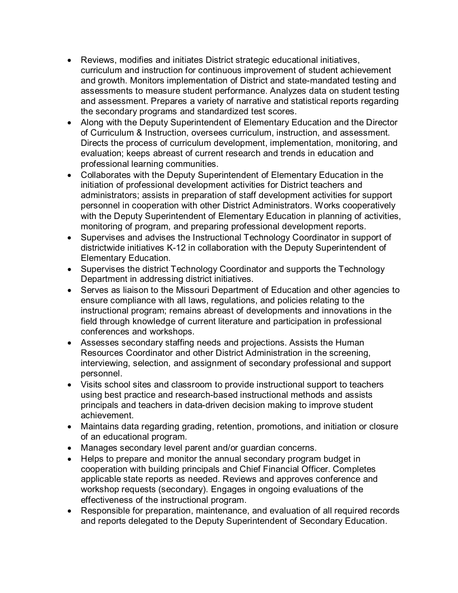- Reviews, modifies and initiates District strategic educational initiatives, curriculum and instruction for continuous improvement of student achievement and growth. Monitors implementation of District and state-mandated testing and assessments to measure student performance. Analyzes data on student testing and assessment. Prepares a variety of narrative and statistical reports regarding the secondary programs and standardized test scores.
- Along with the Deputy Superintendent of Elementary Education and the Director of Curriculum & Instruction, oversees curriculum, instruction, and assessment. Directs the process of curriculum development, implementation, monitoring, and evaluation; keeps abreast of current research and trends in education and professional learning communities.
- Collaborates with the Deputy Superintendent of Elementary Education in the initiation of professional development activities for District teachers and administrators; assists in preparation of staff development activities for support personnel in cooperation with other District Administrators. Works cooperatively with the Deputy Superintendent of Elementary Education in planning of activities, monitoring of program, and preparing professional development reports.
- Supervises and advises the Instructional Technology Coordinator in support of districtwide initiatives K-12 in collaboration with the Deputy Superintendent of Elementary Education.
- Supervises the district Technology Coordinator and supports the Technology Department in addressing district initiatives.
- Serves as liaison to the Missouri Department of Education and other agencies to ensure compliance with all laws, regulations, and policies relating to the instructional program; remains abreast of developments and innovations in the field through knowledge of current literature and participation in professional conferences and workshops.
- Assesses secondary staffing needs and projections. Assists the Human Resources Coordinator and other District Administration in the screening, interviewing, selection, and assignment of secondary professional and support personnel.
- Visits school sites and classroom to provide instructional support to teachers using best practice and research-based instructional methods and assists principals and teachers in data-driven decision making to improve student achievement.
- Maintains data regarding grading, retention, promotions, and initiation or closure of an educational program.
- Manages secondary level parent and/or guardian concerns.
- Helps to prepare and monitor the annual secondary program budget in cooperation with building principals and Chief Financial Officer. Completes applicable state reports as needed. Reviews and approves conference and workshop requests (secondary). Engages in ongoing evaluations of the effectiveness of the instructional program.
- Responsible for preparation, maintenance, and evaluation of all required records and reports delegated to the Deputy Superintendent of Secondary Education.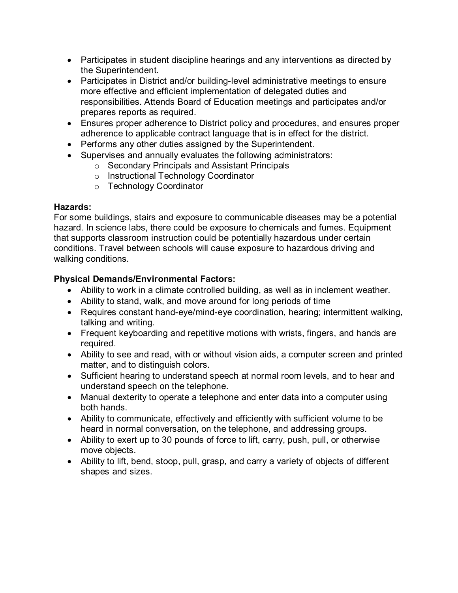- Participates in student discipline hearings and any interventions as directed by the Superintendent.
- Participates in District and/or building-level administrative meetings to ensure more effective and efficient implementation of delegated duties and responsibilities. Attends Board of Education meetings and participates and/or prepares reports as required.
- Ensures proper adherence to District policy and procedures, and ensures proper adherence to applicable contract language that is in effect for the district.
- Performs any other duties assigned by the Superintendent.
- Supervises and annually evaluates the following administrators:
	- o Secondary Principals and Assistant Principals
	- o Instructional Technology Coordinator
	- o Technology Coordinator

### **Hazards:**

For some buildings, stairs and exposure to communicable diseases may be a potential hazard. In science labs, there could be exposure to chemicals and fumes. Equipment that supports classroom instruction could be potentially hazardous under certain conditions. Travel between schools will cause exposure to hazardous driving and walking conditions.

# **Physical Demands/Environmental Factors:**

- Ability to work in a climate controlled building, as well as in inclement weather.
- Ability to stand, walk, and move around for long periods of time
- Requires constant hand-eye/mind-eye coordination, hearing; intermittent walking, talking and writing.
- Frequent keyboarding and repetitive motions with wrists, fingers, and hands are required.
- Ability to see and read, with or without vision aids, a computer screen and printed matter, and to distinguish colors.
- Sufficient hearing to understand speech at normal room levels, and to hear and understand speech on the telephone.
- Manual dexterity to operate a telephone and enter data into a computer using both hands.
- Ability to communicate, effectively and efficiently with sufficient volume to be heard in normal conversation, on the telephone, and addressing groups.
- Ability to exert up to 30 pounds of force to lift, carry, push, pull, or otherwise move objects.
- Ability to lift, bend, stoop, pull, grasp, and carry a variety of objects of different shapes and sizes.